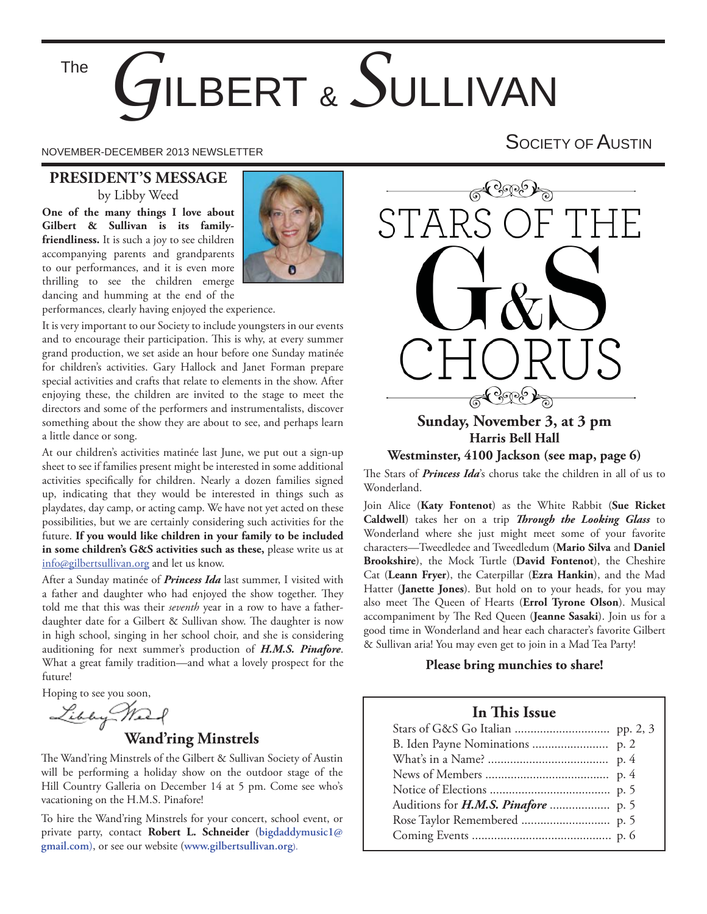The

# **BERT & SULLIVAN**

NOVEMBER-DECEMBER 2013 NEWSLETTER SOCIETY OF AUSTIN

#### **PRESIDENT'S MESSAGE** by Libby Weed

**One of the many things I love about Gilbert & Sullivan is its familyfriendliness.** It is such a joy to see children accompanying parents and grandparents to our performances, and it is even more thrilling to see the children emerge dancing and humming at the end of the



performances, clearly having enjoyed the experience.

It is very important to our Society to include youngsters in our events and to encourage their participation. This is why, at every summer grand production, we set aside an hour before one Sunday matinée for children's activities. Gary Hallock and Janet Forman prepare special activities and crafts that relate to elements in the show. After enjoying these, the children are invited to the stage to meet the directors and some of the performers and instrumentalists, discover something about the show they are about to see, and perhaps learn a little dance or song.

At our children's activities matinée last June, we put out a sign-up sheet to see if families present might be interested in some additional activities specifically for children. Nearly a dozen families signed up, indicating that they would be interested in things such as playdates, day camp, or acting camp. We have not yet acted on these possibilities, but we are certainly considering such activities for the future. **If you would like children in your family to be included in some children's G&S activities such as these,** please write us at info@gilbertsullivan.org and let us know.

After a Sunday matinée of *Princess Ida* last summer, I visited with a father and daughter who had enjoyed the show together. They told me that this was their *seventh* year in a row to have a fatherdaughter date for a Gilbert & Sullivan show. The daughter is now in high school, singing in her school choir, and she is considering auditioning for next summer's production of *H.M.S. Pinafore*. What a great family tradition—and what a lovely prospect for the future!

Hoping to see you soon,

#### **Wand'ring Minstrels**

The Wand'ring Minstrels of the Gilbert & Sullivan Society of Austin will be performing a holiday show on the outdoor stage of the Hill Country Galleria on December 14 at 5 pm. Come see who's vacationing on the H.M.S. Pinafore!

To hire the Wand'ring Minstrels for your concert, school event, or private party, contact **Robert L. Schneider** (**bigdaddymusic1@ gmail.com**), or see our website (**www.gilbertsullivan.org**).



#### **Harris Bell Hall Westminster, 4100 Jackson (see map, page 6)**

The Stars of *Princess Ida*'s chorus take the children in all of us to Wonderland.

Join Alice (**Katy Fontenot**) as the White Rabbit (**Sue Ricket**  Caldwell) takes her on a trip *Through the Looking Glass* to Wonderland where she just might meet some of your favorite characters—Tweedledee and Tweedledum (**Mario Silva** and **Daniel Brookshire**), the Mock Turtle (**David Fontenot**), the Cheshire Cat (**Leann Fryer**), the Caterpillar (**Ezra Hankin**), and the Mad Hatter (**Janette Jones**). But hold on to your heads, for you may also meet The Queen of Hearts (Errol Tyrone Olson). Musical accompaniment by The Red Queen (Jeanne Sasaki). Join us for a good time in Wonderland and hear each character's favorite Gilbert & Sullivan aria! You may even get to join in a Mad Tea Party!

#### **Please bring munchies to share!**

#### **In This Issue**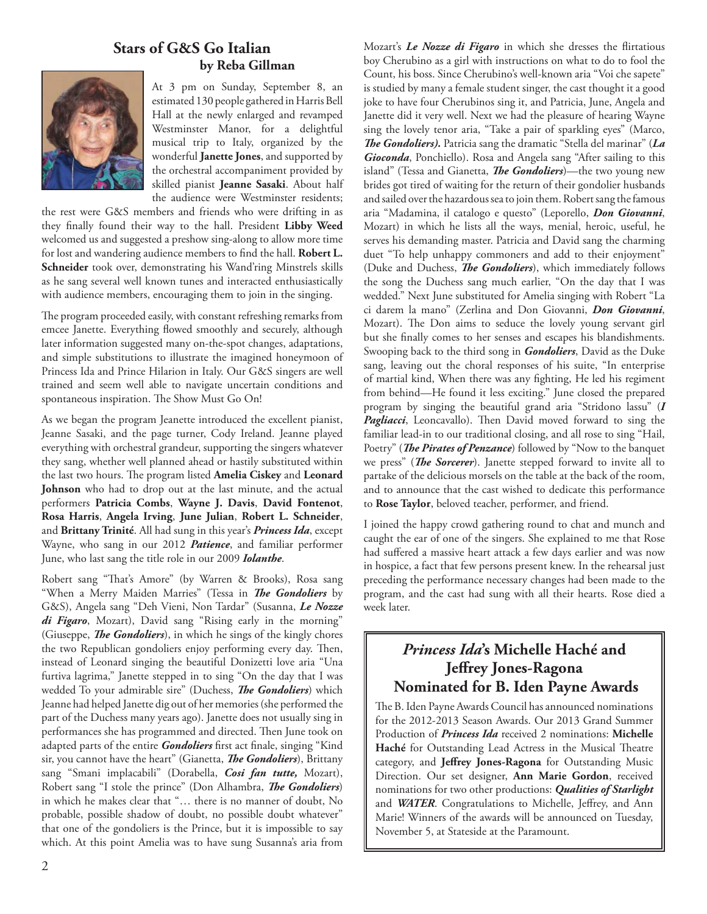#### **Stars of G&S Go Italian by Reba Gillman**



At 3 pm on Sunday, September 8, an estimated 130 people gathered in Harris Bell Hall at the newly enlarged and revamped Westminster Manor, for a delightful musical trip to Italy, organized by the wonderful **Janette Jones**, and supported by the orchestral accompaniment provided by skilled pianist **Jeanne Sasaki**. About half the audience were Westminster residents;

the rest were G&S members and friends who were drifting in as they fi nally found their way to the hall. President **Libby Weed**  welcomed us and suggested a preshow sing-along to allow more time for lost and wandering audience members to find the hall. Robert L. **Schneider** took over, demonstrating his Wand'ring Minstrels skills as he sang several well known tunes and interacted enthusiastically with audience members, encouraging them to join in the singing.

The program proceeded easily, with constant refreshing remarks from emcee Janette. Everything flowed smoothly and securely, although later information suggested many on-the-spot changes, adaptations, and simple substitutions to illustrate the imagined honeymoon of Princess Ida and Prince Hilarion in Italy. Our G&S singers are well trained and seem well able to navigate uncertain conditions and spontaneous inspiration. The Show Must Go On!

As we began the program Jeanette introduced the excellent pianist, Jeanne Sasaki, and the page turner, Cody Ireland. Jeanne played everything with orchestral grandeur, supporting the singers whatever they sang, whether well planned ahead or hastily substituted within the last two hours. The program listed **Amelia Ciskey** and Leonard **Johnson** who had to drop out at the last minute, and the actual performers **Patricia Combs**, **Wayne J. Davis**, **David Fontenot**, **Rosa Harris**, **Angela Irving**, **June Julian**, **Robert L. Schneider**, and **Brittany Trinité**. All had sung in this year's *Princess Ida*, except Wayne, who sang in our 2012 *Patience*, and familiar performer June, who last sang the title role in our 2009 *Iolanthe*.

Robert sang "That's Amore" (by Warren & Brooks), Rosa sang "When a Merry Maiden Marries" (Tessa in *The Gondoliers* by G&S), Angela sang "Deh Vieni, Non Tardar" (Susanna, *Le Nozze di Figaro*, Mozart), David sang "Rising early in the morning" (Giuseppe, *The Gondoliers*), in which he sings of the kingly chores the two Republican gondoliers enjoy performing every day. Then, instead of Leonard singing the beautiful Donizetti love aria "Una furtiva lagrima," Janette stepped in to sing "On the day that I was wedded To your admirable sire" (Duchess, *The Gondoliers*) which Jeanne had helped Janette dig out of her memories (she performed the part of the Duchess many years ago). Janette does not usually sing in performances she has programmed and directed. Then June took on adapted parts of the entire *Gondoliers* first act finale, singing "Kind sir, you cannot have the heart" (Gianetta, *The Gondoliers*), Brittany sang "Smani implacabili" (Dorabella, *Cosi fan tutte,* Mozart), Robert sang "I stole the prince" (Don Alhambra, *The Gondoliers*) in which he makes clear that "… there is no manner of doubt, No probable, possible shadow of doubt, no possible doubt whatever" that one of the gondoliers is the Prince, but it is impossible to say which. At this point Amelia was to have sung Susanna's aria from

Mozart's *Le Nozze di Figaro* in which she dresses the flirtatious boy Cherubino as a girl with instructions on what to do to fool the Count, his boss. Since Cherubino's well-known aria "Voi che sapete" is studied by many a female student singer, the cast thought it a good joke to have four Cherubinos sing it, and Patricia, June, Angela and Janette did it very well. Next we had the pleasure of hearing Wayne sing the lovely tenor aria, "Take a pair of sparkling eyes" (Marco, *Th e Gondoliers).* Patricia sang the dramatic "Stella del marinar" (*La Gioconda*, Ponchiello). Rosa and Angela sang "After sailing to this island" (Tessa and Gianetta, *The Gondoliers*)—the two young new brides got tired of waiting for the return of their gondolier husbands and sailed over the hazardous sea to join them. Robert sang the famous aria "Madamina, il catalogo e questo" (Leporello, *Don Giovanni*, Mozart) in which he lists all the ways, menial, heroic, useful, he serves his demanding master. Patricia and David sang the charming duet "To help unhappy commoners and add to their enjoyment" (Duke and Duchess, *The Gondoliers*), which immediately follows the song the Duchess sang much earlier, "On the day that I was wedded." Next June substituted for Amelia singing with Robert "La ci darem la mano" (Zerlina and Don Giovanni, *Don Giovanni*, Mozart). The Don aims to seduce the lovely young servant girl but she finally comes to her senses and escapes his blandishments. Swooping back to the third song in *Gondoliers*, David as the Duke sang, leaving out the choral responses of his suite, "In enterprise of martial kind, When there was any fighting, He led his regiment from behind—He found it less exciting." June closed the prepared program by singing the beautiful grand aria "Stridono lassu" (*I*  Pagliacci, Leoncavallo). Then David moved forward to sing the familiar lead-in to our traditional closing, and all rose to sing "Hail, Poetry" (*The Pirates of Penzance*) followed by "Now to the banquet we press" (*The Sorcerer*). Janette stepped forward to invite all to partake of the delicious morsels on the table at the back of the room, and to announce that the cast wished to dedicate this performance to **Rose Taylor**, beloved teacher, performer, and friend.

I joined the happy crowd gathering round to chat and munch and caught the ear of one of the singers. She explained to me that Rose had suffered a massive heart attack a few days earlier and was now in hospice, a fact that few persons present knew. In the rehearsal just preceding the performance necessary changes had been made to the program, and the cast had sung with all their hearts. Rose died a week later.

#### *Princess Ida***'s Michelle Haché and Jeffrey Jones-Ragona Nominated for B. Iden Payne Awards**

The B. Iden Payne Awards Council has announced nominations for the 2012-2013 Season Awards. Our 2013 Grand Summer Production of *Princess Ida* received 2 nominations: **Michelle**  Haché for Outstanding Lead Actress in the Musical Theatre category, and Jeffrey Jones-Ragona for Outstanding Music Direction. Our set designer, **Ann Marie Gordon**, received nominations for two other productions: *Qualities of Starlight* and WATER. Congratulations to Michelle, Jeffrey, and Ann Marie! Winners of the awards will be announced on Tuesday, November 5, at Stateside at the Paramount.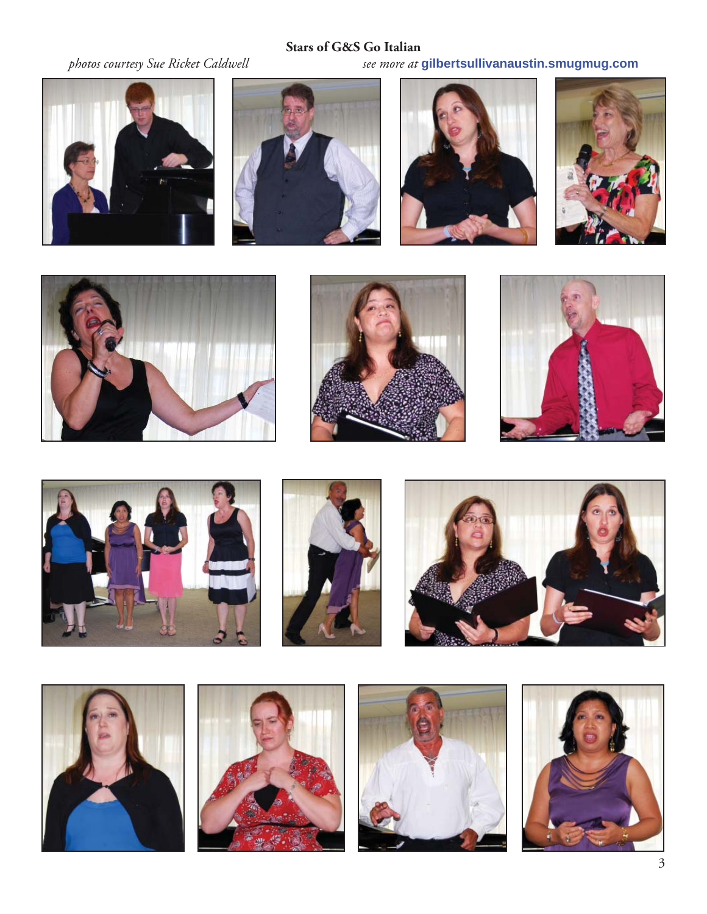### **Stars of G&S Go Italian**

*photos courtesy Sue Ricket Caldwell see more at* **gilbertsullivanaustin.smugmug.com**



























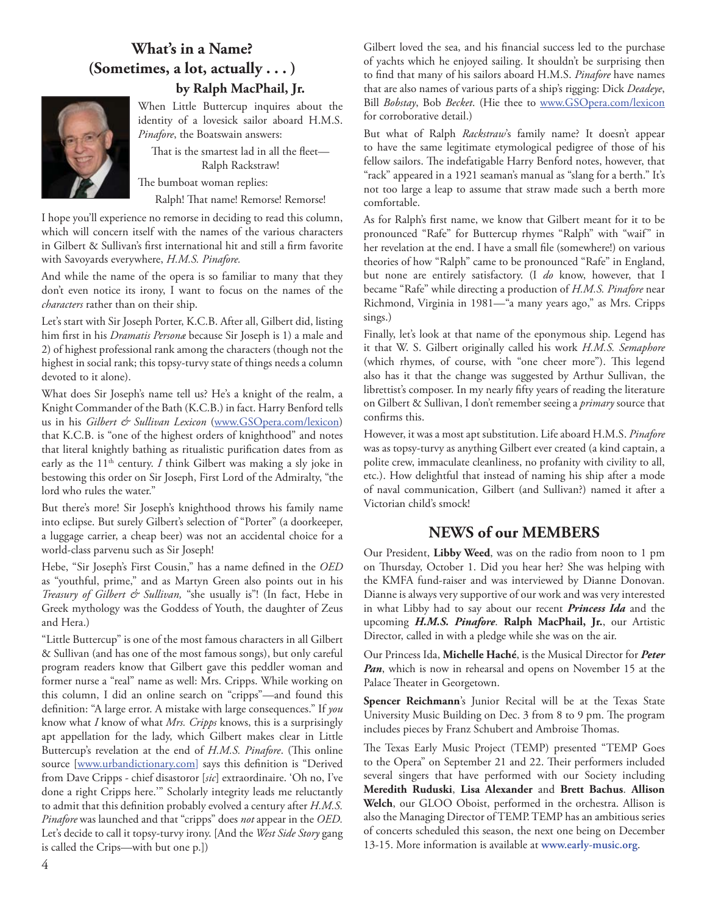#### **What's in a Name? (Sometimes, a lot, actually . . . ) by Ralph MacPhail, Jr.**



When Little Buttercup inquires about the identity of a lovesick sailor aboard H.M.S. *Pinafore*, the Boatswain answers:

That is the smartest lad in all the fleet-Ralph Rackstraw!

The bumboat woman replies:

Ralph! That name! Remorse! Remorse!

I hope you'll experience no remorse in deciding to read this column, which will concern itself with the names of the various characters in Gilbert & Sullivan's first international hit and still a firm favorite with Savoyards everywhere, *H.M.S. Pinafore.*

And while the name of the opera is so familiar to many that they don't even notice its irony, I want to focus on the names of the *characters* rather than on their ship.

Let's start with Sir Joseph Porter, K.C.B. After all, Gilbert did, listing him first in his *Dramatis Persona* because Sir Joseph is 1) a male and 2) of highest professional rank among the characters (though not the highest in social rank; this topsy-turvy state of things needs a column devoted to it alone).

What does Sir Joseph's name tell us? He's a knight of the realm, a Knight Commander of the Bath (K.C.B.) in fact. Harry Benford tells us in his *Gilbert & Sullivan Lexicon* (www.GSOpera.com/lexicon) that K.C.B. is "one of the highest orders of knighthood" and notes that literal knightly bathing as ritualistic purification dates from as early as the 11<sup>th</sup> century. *I* think Gilbert was making a sly joke in bestowing this order on Sir Joseph, First Lord of the Admiralty, "the lord who rules the water."

But there's more! Sir Joseph's knighthood throws his family name into eclipse. But surely Gilbert's selection of "Porter" (a doorkeeper, a luggage carrier, a cheap beer) was not an accidental choice for a world-class parvenu such as Sir Joseph!

Hebe, "Sir Joseph's First Cousin," has a name defined in the OED as "youthful, prime," and as Martyn Green also points out in his *Treasury of Gilbert & Sullivan,* "she usually is"! (In fact, Hebe in Greek mythology was the Goddess of Youth, the daughter of Zeus and Hera.)

"Little Buttercup" is one of the most famous characters in all Gilbert & Sullivan (and has one of the most famous songs), but only careful program readers know that Gilbert gave this peddler woman and former nurse a "real" name as well: Mrs. Cripps. While working on this column, I did an online search on "cripps"—and found this definition: "A large error. A mistake with large consequences." If you know what *I* know of what *Mrs. Cripps* knows, this is a surprisingly apt appellation for the lady, which Gilbert makes clear in Little Buttercup's revelation at the end of *H.M.S. Pinafore*. (This online source [www.urbandictionary.com] says this definition is "Derived from Dave Cripps - chief disastoror [*sic*] extraordinaire. 'Oh no, I've done a right Cripps here.'" Scholarly integrity leads me reluctantly to admit that this definition probably evolved a century after *H.M.S. Pinafore* was launched and that "cripps" does *not* appear in the *OED.* Let's decide to call it topsy-turvy irony. [And the *West Side Story* gang is called the Crips—with but one p.])

Gilbert loved the sea, and his financial success led to the purchase of yachts which he enjoyed sailing. It shouldn't be surprising then to find that many of his sailors aboard H.M.S. *Pinafore* have names that are also names of various parts of a ship's rigging: Dick *Deadeye*, Bill *Bobstay*, Bob *Becket*. (Hie thee to www.GSOpera.com/lexicon for corroborative detail.)

But what of Ralph *Rackstraw*'s family name? It doesn't appear to have the same legitimate etymological pedigree of those of his fellow sailors. The indefatigable Harry Benford notes, however, that "rack" appeared in a 1921 seaman's manual as "slang for a berth." It's not too large a leap to assume that straw made such a berth more comfortable.

As for Ralph's first name, we know that Gilbert meant for it to be pronounced "Rafe" for Buttercup rhymes "Ralph" with "waif" in her revelation at the end. I have a small file (somewhere!) on various theories of how "Ralph" came to be pronounced "Rafe" in England, but none are entirely satisfactory. (I *do* know, however, that I became "Rafe" while directing a production of *H.M.S. Pinafore* near Richmond, Virginia in 1981—"a many years ago," as Mrs. Cripps sings.)

Finally, let's look at that name of the eponymous ship. Legend has it that W. S. Gilbert originally called his work *H.M.S. Semaphore* (which rhymes, of course, with "one cheer more"). This legend also has it that the change was suggested by Arthur Sullivan, the librettist's composer. In my nearly fifty years of reading the literature on Gilbert & Sullivan, I don't remember seeing a *primary* source that confirms this.

However, it was a most apt substitution. Life aboard H.M.S. *Pinafore*  was as topsy-turvy as anything Gilbert ever created (a kind captain, a polite crew, immaculate cleanliness, no profanity with civility to all, etc.). How delightful that instead of naming his ship after a mode of naval communication, Gilbert (and Sullivan?) named it after a Victorian child's smock!

#### **NEWS of our MEMBERS**

Our President, **Libby Weed**, was on the radio from noon to 1 pm on Thursday, October 1. Did you hear her? She was helping with the KMFA fund-raiser and was interviewed by Dianne Donovan. Dianne is always very supportive of our work and was very interested in what Libby had to say about our recent *Princess Ida* and the upcoming *H.M.S. Pinafore*. **Ralph MacPhail, Jr.**, our Artistic Director, called in with a pledge while she was on the air.

Our Princess Ida, **Michelle Haché**, is the Musical Director for *Peter Pan*, which is now in rehearsal and opens on November 15 at the Palace Theater in Georgetown.

**Spencer Reichmann**'s Junior Recital will be at the Texas State University Music Building on Dec. 3 from 8 to 9 pm. The program includes pieces by Franz Schubert and Ambroise Thomas.

The Texas Early Music Project (TEMP) presented "TEMP Goes to the Opera" on September 21 and 22. Their performers included several singers that have performed with our Society including **Meredith Ruduski**, **Lisa Alexander** and **Brett Bachus**. **Allison Welch**, our GLOO Oboist, performed in the orchestra. Allison is also the Managing Director of TEMP. TEMP has an ambitious series of concerts scheduled this season, the next one being on December 13-15. More information is available at **www.early-music.org**.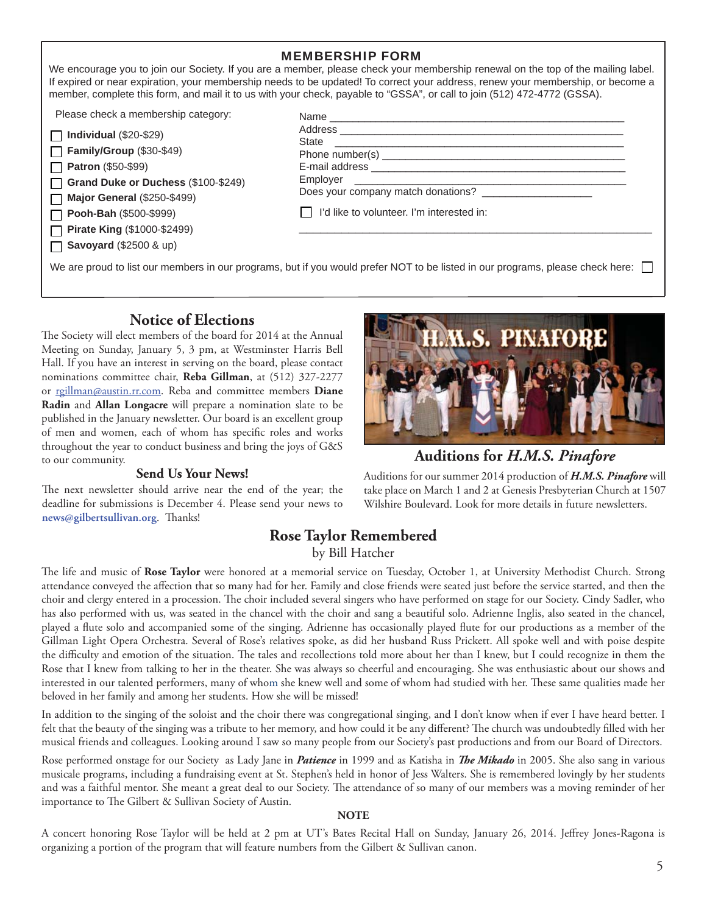|                                                                                                                                                                                                      | <b>MEMBERSHIP FORM</b>                                                                                                                                                                                                                                                                                                                                                                          |  |
|------------------------------------------------------------------------------------------------------------------------------------------------------------------------------------------------------|-------------------------------------------------------------------------------------------------------------------------------------------------------------------------------------------------------------------------------------------------------------------------------------------------------------------------------------------------------------------------------------------------|--|
|                                                                                                                                                                                                      | We encourage you to join our Society. If you are a member, please check your membership renewal on the top of the mailing label.<br>If expired or near expiration, your membership needs to be updated! To correct your address, renew your membership, or become a<br>member, complete this form, and mail it to us with your check, payable to "GSSA", or call to join (512) 472-4772 (GSSA). |  |
| Please check a membership category:                                                                                                                                                                  |                                                                                                                                                                                                                                                                                                                                                                                                 |  |
| $\Box$ Individual (\$20-\$29)<br>Family/Group (\$30-\$49)<br>$\Box$ Patron (\$50-\$99)<br>Grand Duke or Duchess (\$100-\$249)<br>$\Box$ Major General (\$250-\$499)<br>$\Box$ Pooh-Bah (\$500-\$999) | Does your company match donations? ____________________<br>I'd like to volunteer. I'm interested in:                                                                                                                                                                                                                                                                                            |  |
| □ Pirate King (\$1000-\$2499)<br>$\Box$ Savoyard (\$2500 & up)                                                                                                                                       |                                                                                                                                                                                                                                                                                                                                                                                                 |  |
| We are proud to list our members in our programs, but if you would prefer NOT to be listed in our programs, please check here: $\Box$                                                                |                                                                                                                                                                                                                                                                                                                                                                                                 |  |

#### **Notice of Elections**

The Society will elect members of the board for 2014 at the Annual Meeting on Sunday, January 5, 3 pm, at Westminster Harris Bell Hall. If you have an interest in serving on the board, please contact nominations committee chair, **Reba Gillman**, at (512) 327-2277 or rgillman@austin.rr.com. Reba and committee members **Diane Radin** and **Allan Longacre** will prepare a nomination slate to be published in the January newsletter. Our board is an excellent group of men and women, each of whom has specific roles and works throughout the year to conduct business and bring the joys of G&S to our community.

#### **Send Us Your News!**

The next newsletter should arrive near the end of the year; the deadline for submissions is December 4. Please send your news to  $news@gilbertsullivan.org.$  Thanks!



#### **Auditions for** *H.M.S. Pinafore*

Auditions for our summer 2014 production of *H.M.S. Pinafore* will take place on March 1 and 2 at Genesis Presbyterian Church at 1507 Wilshire Boulevard. Look for more details in future newsletters.

#### **Rose Taylor Remembered**

#### by Bill Hatcher

The life and music of Rose Taylor were honored at a memorial service on Tuesday, October 1, at University Methodist Church. Strong attendance conveyed the affection that so many had for her. Family and close friends were seated just before the service started, and then the choir and clergy entered in a procession. The choir included several singers who have performed on stage for our Society. Cindy Sadler, who has also performed with us, was seated in the chancel with the choir and sang a beautiful solo. Adrienne Inglis, also seated in the chancel, played a flute solo and accompanied some of the singing. Adrienne has occasionally played flute for our productions as a member of the Gillman Light Opera Orchestra. Several of Rose's relatives spoke, as did her husband Russ Prickett. All spoke well and with poise despite the difficulty and emotion of the situation. The tales and recollections told more about her than I knew, but I could recognize in them the Rose that I knew from talking to her in the theater. She was always so cheerful and encouraging. She was enthusiastic about our shows and interested in our talented performers, many of whom she knew well and some of whom had studied with her. These same qualities made her beloved in her family and among her students. How she will be missed!

In addition to the singing of the soloist and the choir there was congregational singing, and I don't know when if ever I have heard better. I felt that the beauty of the singing was a tribute to her memory, and how could it be any different? The church was undoubtedly filled with her musical friends and colleagues. Looking around I saw so many people from our Society's past productions and from our Board of Directors.

Rose performed onstage for our Society as Lady Jane in *Patience* in 1999 and as Katisha in *The Mikado* in 2005. She also sang in various musicale programs, including a fundraising event at St. Stephen's held in honor of Jess Walters. She is remembered lovingly by her students and was a faithful mentor. She meant a great deal to our Society. The attendance of so many of our members was a moving reminder of her importance to The Gilbert & Sullivan Society of Austin.

#### **NOTE**

A concert honoring Rose Taylor will be held at 2 pm at UT's Bates Recital Hall on Sunday, January 26, 2014. Jeffrey Jones-Ragona is organizing a portion of the program that will feature numbers from the Gilbert & Sullivan canon.